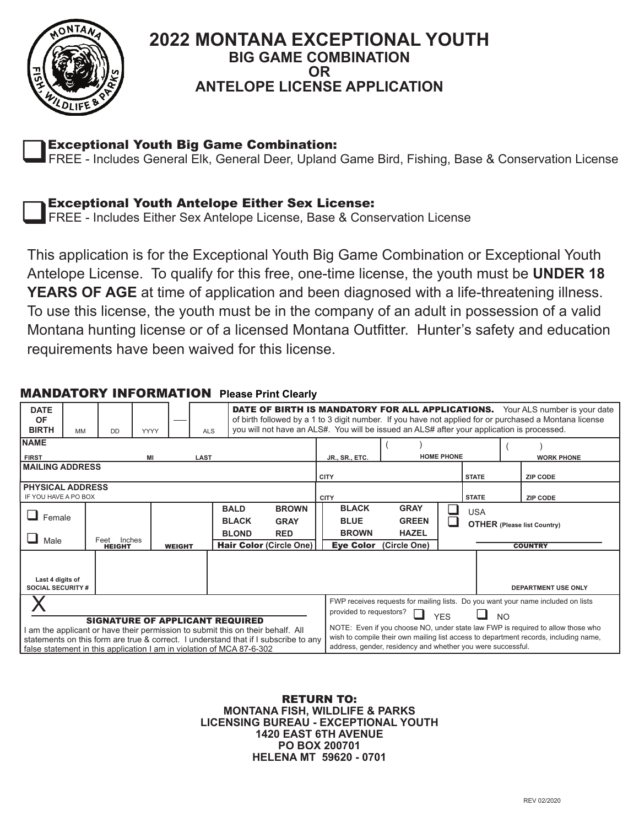

## **2022 MONTANA EXCEPTIONAL YOUTH BIG GAME COMBINATION OR ANTELOPE LICENSE APPLICATION**

Exceptional Youth Big Game Combination:

**Exceptional Youth Big Game Combination:**<br>FREE - Includes General Elk, General Deer, Upland Game Bird, Fishing, Base & Conservation License



FREE - Includes Either Sex Antelope License, Base & Conservation License

This application is for the Exceptional Youth Big Game Combination or Exceptional Youth Antelope License. To qualify for this free, one-time license, the youth must be **UNDER 18 YEARS OF AGE** at time of application and been diagnosed with a life-threatening illness. To use this license, the youth must be in the company of an adult in possession of a valid Montana hunting license or of a licensed Montana Outfitter. Hunter's safety and education requirements have been waived for this license.

| <b>DATE</b><br><b>OF</b><br><b>BIRTH</b>                                                                                                                                                                                                                                                  | MM | <b>DD</b>                                        | <b>DATE OF BIRTH IS MANDATORY FOR ALL APPLICATIONS.</b> Your ALS number is your date<br>of birth followed by a 1 to 3 digit number. If you have not applied for or purchased a Montana license<br>you will not have an ALS#. You will be issued an ALS# after your application is processed.<br><b>ALS</b><br><b>YYYY</b> |  |                                             |                                                                      |                                                                                                                                                                                                                                                                                                                                                                                       |                                                             |                   |              |                                                      |  |                            |
|-------------------------------------------------------------------------------------------------------------------------------------------------------------------------------------------------------------------------------------------------------------------------------------------|----|--------------------------------------------------|---------------------------------------------------------------------------------------------------------------------------------------------------------------------------------------------------------------------------------------------------------------------------------------------------------------------------|--|---------------------------------------------|----------------------------------------------------------------------|---------------------------------------------------------------------------------------------------------------------------------------------------------------------------------------------------------------------------------------------------------------------------------------------------------------------------------------------------------------------------------------|-------------------------------------------------------------|-------------------|--------------|------------------------------------------------------|--|----------------------------|
| <b>NAME</b>                                                                                                                                                                                                                                                                               |    |                                                  |                                                                                                                                                                                                                                                                                                                           |  |                                             |                                                                      |                                                                                                                                                                                                                                                                                                                                                                                       |                                                             | <b>HOME PHONE</b> |              |                                                      |  |                            |
| <b>FIRST</b><br>LAST<br>МI<br><b>MAILING ADDRESS</b>                                                                                                                                                                                                                                      |    |                                                  |                                                                                                                                                                                                                                                                                                                           |  |                                             |                                                                      |                                                                                                                                                                                                                                                                                                                                                                                       | JR., SR., ETC.<br><b>CITY</b>                               |                   | <b>STATE</b> | <b>WORK PHONE</b><br><b>ZIP CODE</b>                 |  |                            |
| <b>PHYSICAL ADDRESS</b><br>IF YOU HAVE A PO BOX                                                                                                                                                                                                                                           |    |                                                  |                                                                                                                                                                                                                                                                                                                           |  |                                             |                                                                      |                                                                                                                                                                                                                                                                                                                                                                                       | <b>CITY</b>                                                 |                   | <b>STATE</b> |                                                      |  | <b>ZIP CODE</b>            |
| Female<br>Male                                                                                                                                                                                                                                                                            |    | Inches<br>Feet<br><b>HEIGHT</b><br><b>WEIGHT</b> |                                                                                                                                                                                                                                                                                                                           |  | <b>BALD</b><br><b>BLACK</b><br><b>BLOND</b> | <b>BROWN</b><br><b>GRAY</b><br><b>RED</b><br>Hair Color (Circle One) | <b>BLACK</b><br><b>BLUE</b><br><b>BROWN</b><br><b>Eye Color</b>                                                                                                                                                                                                                                                                                                                       | <b>GRAY</b><br><b>GREEN</b><br><b>HAZEL</b><br>(Circle One) |                   | <b>USA</b>   | <b>OTHER (Please list Country)</b><br><b>COUNTRY</b> |  |                            |
| Last 4 digits of<br><b>SOCIAL SECURITY #</b>                                                                                                                                                                                                                                              |    |                                                  |                                                                                                                                                                                                                                                                                                                           |  |                                             |                                                                      |                                                                                                                                                                                                                                                                                                                                                                                       |                                                             |                   |              |                                                      |  | <b>DEPARTMENT USE ONLY</b> |
| <b>SIGNATURE OF APPLICANT REQUIRED</b><br>I am the applicant or have their permission to submit this on their behalf. All<br>statements on this form are true & correct. I understand that if I subscribe to any<br>false statement in this application I am in violation of MCA 87-6-302 |    |                                                  |                                                                                                                                                                                                                                                                                                                           |  |                                             |                                                                      | FWP receives requests for mailing lists. Do you want your name included on lists<br>provided to requestors?<br>N <sub>O</sub><br><b>YFS</b><br>NOTE: Even if you choose NO, under state law FWP is required to allow those who<br>wish to compile their own mailing list access to department records, including name,<br>address, gender, residency and whether you were successful. |                                                             |                   |              |                                                      |  |                            |

## MANDATORY INFORMATION **Please Print Clearly**

RETURN TO: **MONTANA FISH, WILDLIFE & PARKS LICENSING BUREAU - EXCEPTIONAL YOUTH 1420 EAST 6TH AVENUE PO BOX 200701 HELENA MT 59620 - 0701**